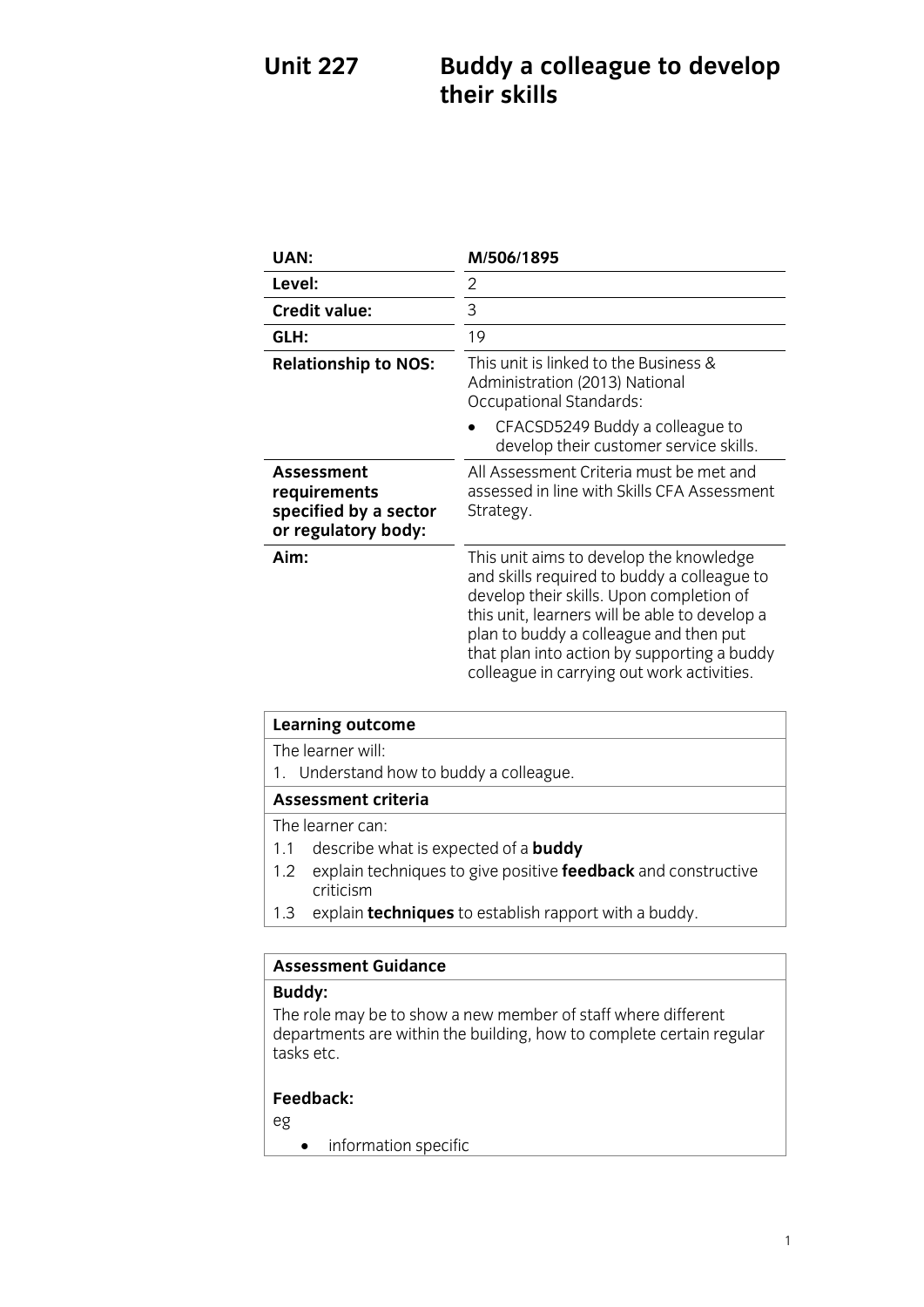## **Buddy a colleague to develop their skills Unit 227**

| UAN:                                                                              | M/506/1895                                                                                                                                                                                                                                                                                                                 |
|-----------------------------------------------------------------------------------|----------------------------------------------------------------------------------------------------------------------------------------------------------------------------------------------------------------------------------------------------------------------------------------------------------------------------|
| Level:                                                                            | 2                                                                                                                                                                                                                                                                                                                          |
| <b>Credit value:</b>                                                              | 3                                                                                                                                                                                                                                                                                                                          |
| GLH:                                                                              | 19                                                                                                                                                                                                                                                                                                                         |
| <b>Relationship to NOS:</b>                                                       | This unit is linked to the Business &<br>Administration (2013) National<br><b>Occupational Standards:</b>                                                                                                                                                                                                                  |
|                                                                                   | CFACSD5249 Buddy a colleague to<br>develop their customer service skills.                                                                                                                                                                                                                                                  |
| <b>Assessment</b><br>requirements<br>specified by a sector<br>or regulatory body: | All Assessment Criteria must be met and<br>assessed in line with Skills CFA Assessment<br>Strategy.                                                                                                                                                                                                                        |
| Aim:                                                                              | This unit aims to develop the knowledge<br>and skills required to buddy a colleague to<br>develop their skills. Upon completion of<br>this unit, learners will be able to develop a<br>plan to buddy a colleague and then put<br>that plan into action by supporting a buddy<br>colleague in carrying out work activities. |

| <b>Learning outcome</b>                                                      |  |
|------------------------------------------------------------------------------|--|
| The learner will:                                                            |  |
| 1. Understand how to buddy a colleague.                                      |  |
| <b>Assessment criteria</b>                                                   |  |
| The learner can:                                                             |  |
| describe what is expected of a <b>buddy</b><br>1.1                           |  |
| explain techniques to give positive feedback and constructive<br>1.2         |  |
| criticism<br>1.2 ovplain <b>tochniques</b> to actablish rapport with a buddy |  |

1.3 explain **techniques** to establish rapport with a buddy.

# **Assessment Guidance**

The role may be to show a new member of staff where different  $\frac{1}{2}$  departments are within the building how to complete certain re departments are within the building,  $\frac{1}{2}$  and  $\frac{1}{2}$  regularity regularity regularity. tasks etc.

## **Feedback:**

- eg
- **•** information specific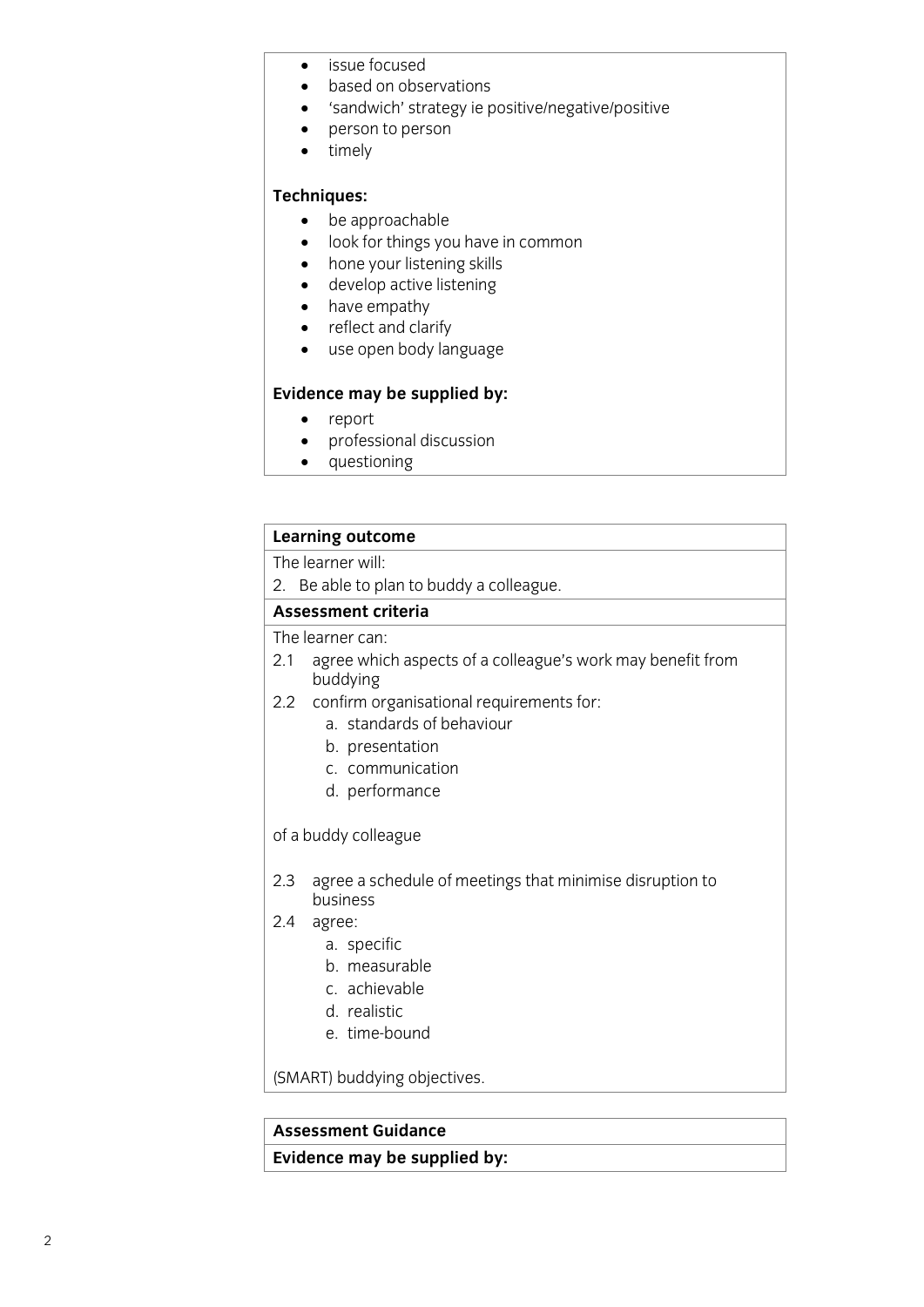- issue focused<br>• hased on obs
- based on observations<br>• Sandwich' strategy ie r
- 'sandwich' strategy ie positive/negative/positive<br>• nerson to person
- $\bullet$  person to person<br>  $\bullet$  timely
- timely

- **Techniques:**<br>• be approachable • be approachable<br>• look for things vo
	- **.** look for things you have in common<br>• hone your listening skills
	- hone your listening skills
	- develop active listening
	- have empathy
	- reflect and clarify
	- use open body language

- 
- **Evidence** may be support<br> **Event** may be a professional discussion • professional discussion<br>• questioning
	- questioning

## **Learning outcome**<br>The learner will:

2. Be able to plan to buddy a colleague.

### Assessment criteria

The learner can:

- 21 agree which  $2.1$  and  $2.1$  and  $2.1$  and  $2.1$  and  $2.1$  and  $2.1$  and  $2.1$  and  $2.1$  and  $2.1$  and  $2.1$  and  $2.1$  and  $2.1$  and  $2.1$  and  $2.1$  and  $2.1$  and  $2.1$  and  $2.1$  and  $2.1$  and  $2.1$  and  $2.1$  and  $2.1$  and  $2.1$  and  $2$ buddying<br>2.2 confirm organisational requirements for:
- - a. standards of behaviour
	- b. presentation
	- c. communication
	- d. performance d. performance

## of a buddy colleague

- 2.3 agree a schedule of meetings that minimise disruption to
- $2.4$  agree:
	- a. specific
	- b. measurable
	- c. achievable
	- d. realistic
	- e. time-bound e. time-bound

(SMART) buddying objectives.

**Assessment Guidance Evidence may be supplied by:**